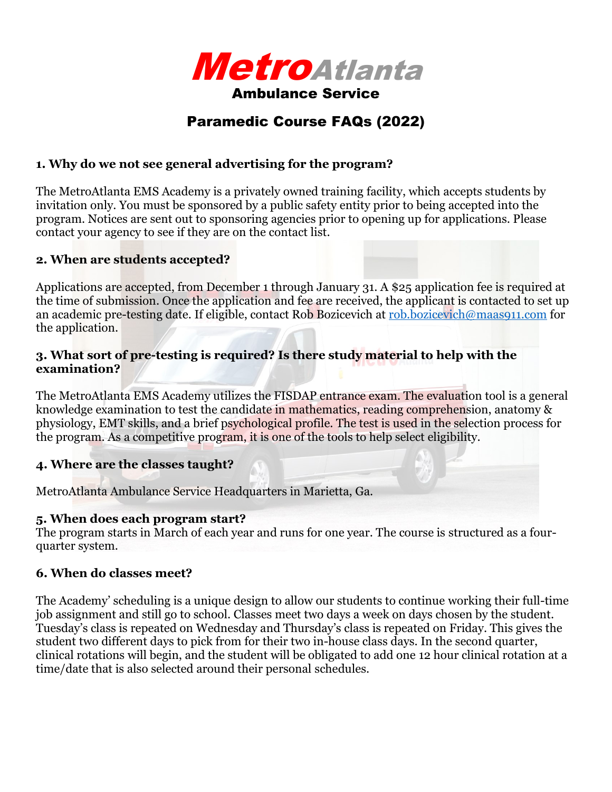

# Paramedic Course FAQs (2022)

# **1. Why do we not see general advertising for the program?**

The MetroAtlanta EMS Academy is a privately owned training facility, which accepts students by invitation only. You must be sponsored by a public safety entity prior to being accepted into the program. Notices are sent out to sponsoring agencies prior to opening up for applications. Please contact your agency to see if they are on the contact list.

### **2. When are students accepted?**

Applications are accepted, from December 1 through January 31. A \$25 application fee is required at the time of submission. Once the application and fee are received, the applicant is contacted to set up an academic pre-testing date. If eligible, contact Rob Bozicevich at [rob.bozicevich@maas911.com](mailto:rob.bozicevich@maas911.com) for the application.

### **3. What sort of pre-testing is required? Is there study material to help with the examination?**

The MetroAtlanta EMS Academy utilizes the FISDAP entrance exam. The evaluation tool is a general knowledge examination to test the candidate in mathematics, reading comprehension, anatomy & physiology, EMT skills, and a brief psychological profile. The test is used in the selection process for the program. As a competitive program, it is one of the tools to help select eligibility.

# **4. Where are the classes taught?**

MetroAtlanta Ambulance Service Headquarters in Marietta, Ga.

#### **5. When does each program start?**

The program starts in March of each year and runs for one year. The course is structured as a fourquarter system.

# **6. When do classes meet?**

The Academy' scheduling is a unique design to allow our students to continue working their full-time job assignment and still go to school. Classes meet two days a week on days chosen by the student. Tuesday's class is repeated on Wednesday and Thursday's class is repeated on Friday. This gives the student two different days to pick from for their two in-house class days. In the second quarter, clinical rotations will begin, and the student will be obligated to add one 12 hour clinical rotation at a time/date that is also selected around their personal schedules.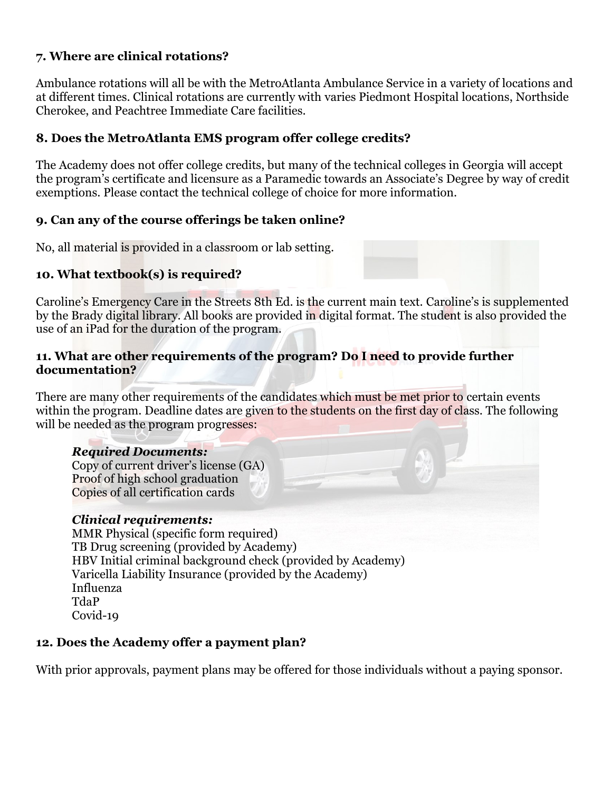# **7. Where are clinical rotations?**

Ambulance rotations will all be with the MetroAtlanta Ambulance Service in a variety of locations and at different times. Clinical rotations are currently with varies Piedmont Hospital locations, Northside Cherokee, and Peachtree Immediate Care facilities.

# **8. Does the MetroAtlanta EMS program offer college credits?**

The Academy does not offer college credits, but many of the technical colleges in Georgia will accept the program's certificate and licensure as a Paramedic towards an Associate's Degree by way of credit exemptions. Please contact the technical college of choice for more information.

# **9. Can any of the course offerings be taken online?**

No, all material is provided in a classroom or lab setting.

# **10. What textbook(s) is required?**

Caroline's Emergency Care in the Streets 8th Ed. is the current main text. Caroline's is supplemented by the Brady digital library. All books are provided in digital format. The student is also provided the use of an iPad for the duration of the program.

#### **11. What are other requirements of the program? Do I need to provide further documentation?**

There are many other requirements of the candidates which must be met prior to certain events within the program. Deadline dates are given to the students on the first day of class. The following will be needed as the program progresses:

# *Required Documents:*

Copy of current driver's license (GA) Proof of high school graduation Copies of all certification cards

# *Clinical requirements:*

MMR Physical (specific form required) TB Drug screening (provided by Academy) HBV Initial criminal background check (provided by Academy) Varicella Liability Insurance (provided by the Academy) Influenza TdaP Covid-19

# **12. Does the Academy offer a payment plan?**

With prior approvals, payment plans may be offered for those individuals without a paying sponsor.